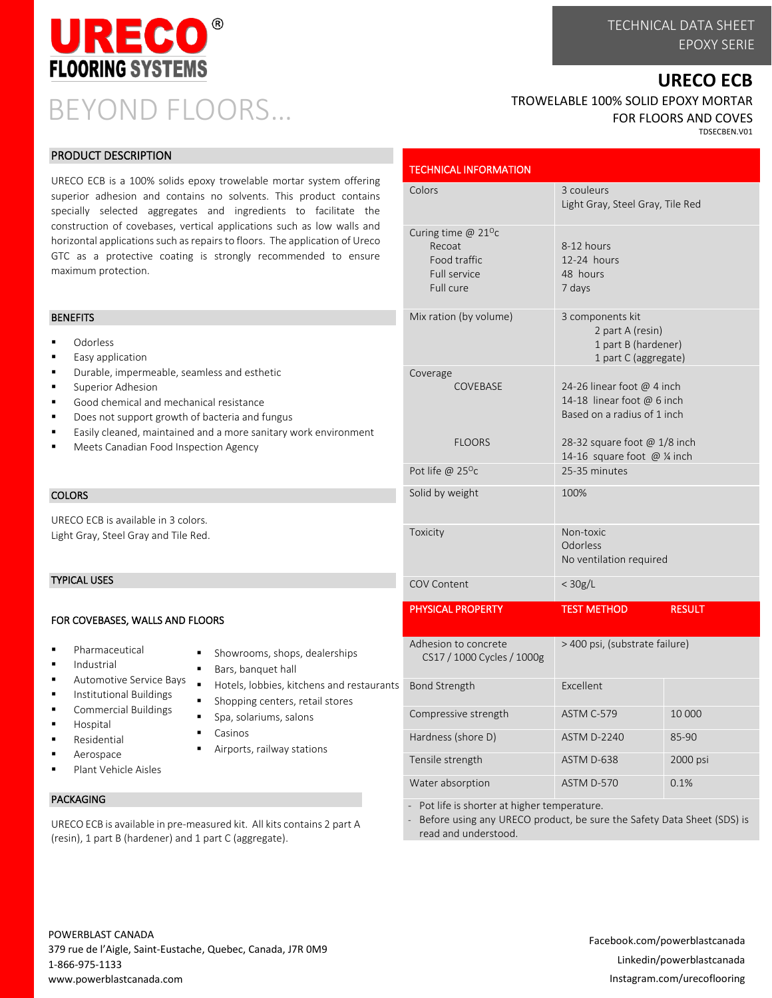

# BEYOND FLOORS…

# **URECO ECB**

TROWELABLE 100% SOLID EPOXY MORTAR FOR FLOORS AND COVES TDSECBEN.V01

Light Gray, Steel Gray, Tile Red

2 part A (resin) 1 part B (hardener) 1 part C (aggregate)

8-12 hours 12-24 hours 48 hours 7 days

#### PRODUCT DESCRIPTION

URECO ECB is a 100% solids epoxy trowelable mortar system offering superior adhesion and contains no solvents. This product contains specially selected aggregates and ingredients to facilitate the construction of covebases, vertical applications such as low walls and horizontal applications such as repairs to floors. The application of Ureco GTC as a protective coating is strongly recommended to ensure maximum protection.

#### **BENEFITS**

- Odorless
- Easy application
- Durable, impermeable, seamless and esthetic
- Superior Adhesion
- Good chemical and mechanical resistance
- Does not support growth of bacteria and fungus
- Easily cleaned, maintained and a more sanitary work environment
- Meets Canadian Food Inspection Agency

## **COLORS**

URECO ECB is available in 3 colors. Light Gray, Steel Gray and Tile Red.

#### TYPICAL USES

#### FOR COVEBASES, WALLS AND FLOORS

- Pharmaceutical
- **Industrial**
- Automotive Service Bays
- Institutional Buildings
- Commercial Buildings
- **Hospital**
- 
- Aerospace
- Plant Vehicle Aisles

Residential

### PACKAGING

URECO ECB is available in pre-measured kit. All kits contains 2 part A (resin), 1 part B (hardener) and 1 part C (aggregate).

| ۱RS                           |  |
|-------------------------------|--|
|                               |  |
| Showrooms, shops, dealerships |  |

- Bars, banquet hall
- Hotels, lobbies, kitchens and restaurants
- Shopping centers, retail stores
- Spa, solariums, salons
- Casinos
- Airports, railway stations

| Coverage                                           |                                                                                         |               |
|----------------------------------------------------|-----------------------------------------------------------------------------------------|---------------|
| COVEBASE                                           | 24-26 linear foot @ 4 inch<br>14-18 linear foot @ 6 inch<br>Based on a radius of 1 inch |               |
| <b>FLOORS</b>                                      | 28-32 square foot @ 1/8 inch<br>14-16 square foot @ 1/4 inch                            |               |
| Pot life @ $25^{\circ}$ c                          | 25-35 minutes                                                                           |               |
| Solid by weight                                    | 100%                                                                                    |               |
| Toxicity                                           | Non-toxic<br>Odorless<br>No ventilation required                                        |               |
|                                                    | $<$ 30g/L                                                                               |               |
| COV Content                                        |                                                                                         |               |
| <b>PHYSICAL PROPERTY</b>                           | <b>TEST METHOD</b>                                                                      | <b>RESULT</b> |
| Adhesion to concrete<br>CS17 / 1000 Cycles / 1000g | > 400 psi, (substrate failure)                                                          |               |
| <b>Bond Strength</b>                               | Excellent                                                                               |               |
| Compressive strength                               | ASTM C-579                                                                              | 10 000        |
| Hardness (shore D)                                 | <b>ASTM D-2240</b>                                                                      | 85-90         |
| Tensile strength                                   | ASTM D-638                                                                              | 2000 psi      |

Pot life is shorter at higher temperature.

TECHNICAL INFORMATION

Curing time  $@$  21<sup>o</sup>c Recoat Food traffic Full service Full cure

Colors 3 couleurs

Mix ration (by volume) 3 components kit

- Before using any URECO product, be sure the Safety Data Sheet (SDS) is read and understood.

# POWERBLAST CANADA 379 rue de l'Aigle, Saint-Eustache, Quebec, Canada, J7R 0M9 1-866-975-1133 www.powerblastcanada.com

# Facebook.com/powerblastcanada Linkedin/powerblastcanada Instagram.com/urecoflooring